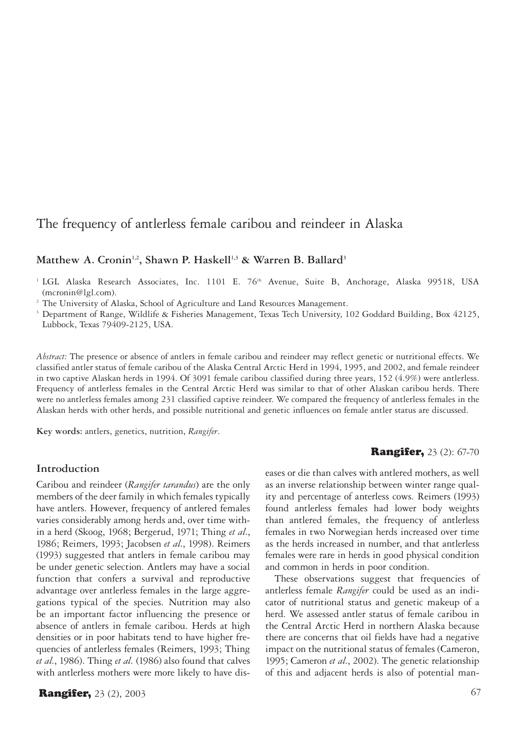# The frequency of antlerless female caribou and reindeer in Alaska

# Matthew A. Cronin<sup>1,2</sup>, Shawn P. Haskell<sup>1,3</sup> & Warren B. Ballard<sup>3</sup>

<sup>1</sup> LGL Alaska Research Associates, Inc. 1101 E. 76<sup>th</sup> Avenue, Suite B, Anchorage, Alaska 99518, USA (mcronin@lgl.com).

<sup>2</sup> The University of Alaska, School of Agriculture and Land Resources Management.

<sup>3</sup> Department of Range, Wildlife & Fisheries Management, Texas Tech University, 102 Goddard Building, Box 42125, Lubbock, Texas 79409-2125, USA.

*Abstract:* The presence or absence of antlers in female caribou and reindeer may reflect genetic or nutritional effects. We classified antler status of female caribou of the Alaska Central Arctic Herd in 1994, 1995, and 2002, and female reindeer in two captive Alaskan herds in 1994. Of 3091 female caribou classified during three years, 152 (4.9%) were antlerless. Frequency of antlerless females in the Central Arctic Herd was similar to that of other Alaskan caribou herds. There were no antlerless females among 231 classified captive reindeer. We compared the frequency of antlerless females in the Alaskan herds with other herds, and possible nutritional and genetic influences on female antler status are discussed.

**Key words:** antlers, genetics, nutrition, *Rangifer*.

# **Introduction**

Caribou and reindeer (*Rangifer tarandus*) are the only members of the deer family in which females typically have antlers. However, frequency of antlered females varies considerably among herds and, over time within a herd (Skoog, 1968; Bergerud, 1971; Thing *et al.*, 1986; Reimers, 1993; Jacobsen *et al.*, 1998). Reimers (1993) suggested that antlers in female caribou may be under genetic selection. Antlers may have a social function that confers a survival and reproductive advantage over antlerless females in the large aggregations typical of the species. Nutrition may also be an important factor influencing the presence or absence of antlers in female caribou. Herds at high densities or in poor habitats tend to have higher frequencies of antlerless females (Reimers, 1993; Thing *et al.*, 1986). Thing *et al.* (1986) also found that calves with antlerless mothers were more likely to have dis-

**Rangifer,** 23 (2), 2003 **67** 

#### **Rangifer,** 23 (2): 67-70

eases or die than calves with antlered mothers, as well as an inverse relationship between winter range quality and percentage of anterless cows. Reimers (1993) found antlerless females had lower body weights than antlered females, the frequency of antlerless females in two Norwegian herds increased over time as the herds increased in number, and that antlerless females were rare in herds in good physical condition and common in herds in poor condition.

These observations suggest that frequencies of antlerless female *Rangifer* could be used as an indicator of nutritional status and genetic makeup of a herd. We assessed antler status of female caribou in the Central Arctic Herd in northern Alaska because there are concerns that oil fields have had a negative impact on the nutritional status of females (Cameron, 1995; Cameron *et al.*, 2002). The genetic relationship of this and adjacent herds is also of potential man-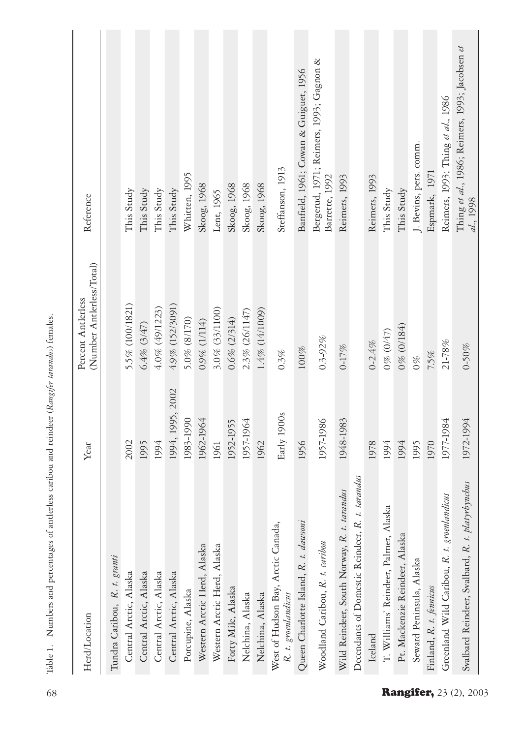| Herd/Location                                             | Year             | (Number Antlerless/Total)<br>Percent Antlerless | Reference                                                   |
|-----------------------------------------------------------|------------------|-------------------------------------------------|-------------------------------------------------------------|
| Tundra Caribou, R. t. granti                              |                  |                                                 |                                                             |
| Central Arctic, Alaska                                    | 2002             | 5.5% (100/1821)                                 | This Study                                                  |
| Central Arctic, Alaska                                    | 1995             | 6.4% (3/47)                                     | This Study                                                  |
| Central Arctic, Alaska                                    | 1994             | 4.0% (49/1223)                                  | This Study                                                  |
| Central Arctic, Alaska                                    | 1994, 1995, 2002 | 4.9% (152/3091)                                 | This Study                                                  |
| Porcupine, Alaska                                         | 1983-1990        | 5.0% (8/170)                                    | Whitten, 1995                                               |
| Western Arctic Herd, Alaska                               | 1962-1964        | 0.9% (1/114)                                    | Skoog, 1968                                                 |
| Western Arctic Herd, Alaska                               | 1961             | 3.0% (33/1100)                                  | Lent, 1965                                                  |
| Forty Mile, Alaska                                        | 1952-1955        | $0.6\%$ (2/314)                                 | Skoog, 1968                                                 |
| Nelchina, Alaska                                          | 1957-1964        | 2.3% (26/1147)                                  | Skoog, 1968                                                 |
| Nelchina, Alaska                                          | 1962             | 1.4% (14/1009)                                  | Skoog, 1968                                                 |
| West of Hudson Bay, Arctic Canada,<br>R. t. groenlandicus | Early 1900s      | 0.3%                                            | Steffanson, 1913                                            |
| Queen Charlotte Island, R. t. dawsoni                     | 1956             | $100\%$                                         | Banfield, 1961; Cowan & Guiguet, 1956                       |
| Woodland Caribou, R. t. caribou                           | 1957-1986        | $0.3 - 92\%$                                    | Bergerud, 1971; Reimers, 1993; Gagnon &<br>Barrette, 1992   |
| Wild Reindeer, South Norway, R. t. tarandus               | 1948-1983        | $0 - 17%$                                       | Reimers, 1993                                               |
| tarandus<br>Decendants of Domestic Reindeer, R. t.        |                  |                                                 |                                                             |
| Iceland                                                   | 1978             | $0 - 2.4%$                                      | Reimers, 1993                                               |
| T. Williams' Reindeer, Palmer, Alaska                     | 1994             | 0% (0/47)                                       | This Study                                                  |
| Pt. Mackenzie Reindeer, Alaska                            | 1994             | 0% (0/184)                                      | This Study                                                  |
| Seward Peninsula, Alaska                                  | 1995             | $\frac{6}{2}$                                   | J. Bevins, pers. comm.                                      |
| Finland, R. t. fennicus                                   | 1970             | 7,5%                                            | Espmark, 1971                                               |
| Greenland Wild Caribou, R. t. groenlandicus               | 1977-1984        | $21\text{--}78\,\%$                             | Reimers, 1993; Thing et al., 1986                           |
| Svalbard Reindeer, Svalbard, R. t. platyrbynchus          | 1972-1994        | 0-50%                                           | Thing et al., 1986; Reimers, 1993; Jacobsen et<br>al., 1998 |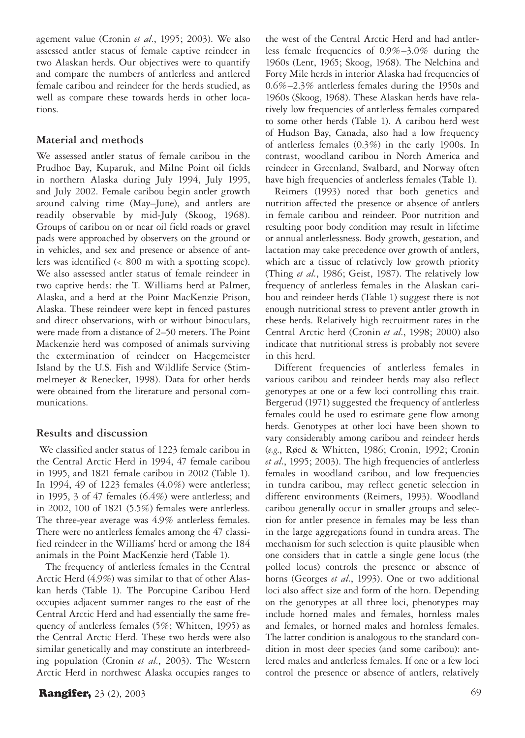agement value (Cronin *et al.*, 1995; 2003). We also assessed antler status of female captive reindeer in two Alaskan herds. Our objectives were to quantify and compare the numbers of antlerless and antlered female caribou and reindeer for the herds studied, as well as compare these towards herds in other locations.

# **Material and methods**

We assessed antler status of female caribou in the Prudhoe Bay, Kuparuk, and Milne Point oil fields in northern Alaska during July 1994, July 1995, and July 2002. Female caribou begin antler growth around calving time (May–June), and antlers are readily observable by mid-July (Skoog, 1968). Groups of caribou on or near oil field roads or gravel pads were approached by observers on the ground or in vehicles, and sex and presence or absence of antlers was identified (< 800 m with a spotting scope). We also assessed antler status of female reindeer in two captive herds: the T. Williams herd at Palmer, Alaska, and a herd at the Point MacKenzie Prison, Alaska. These reindeer were kept in fenced pastures and direct observations, with or without binoculars, were made from a distance of 2–50 meters. The Point Mackenzie herd was composed of animals surviving the extermination of reindeer on Haegemeister Island by the U.S. Fish and Wildlife Service (Stimmelmeyer & Renecker, 1998). Data for other herds were obtained from the literature and personal communications.

### **Results and discussion**

We classified antler status of 1223 female caribou in the Central Arctic Herd in 1994, 47 female caribou in 1995, and 1821 female caribou in 2002 (Table 1). In 1994, 49 of 1223 females (4.0%) were antlerless; in 1995, 3 of 47 females (6.4%) were antlerless; and in 2002, 100 of 1821 (5.5%) females were antlerless. The three-year average was 4.9% antlerless females. There were no antlerless females among the 47 classified reindeer in the Williams' herd or among the 184 animals in the Point MacKenzie herd (Table 1).

The frequency of antlerless females in the Central Arctic Herd (4.9%) was similar to that of other Alaskan herds (Table 1). The Porcupine Caribou Herd occupies adjacent summer ranges to the east of the Central Arctic Herd and had essentially the same frequency of antlerless females (5%; Whitten, 1995) as the Central Arctic Herd. These two herds were also similar genetically and may constitute an interbreeding population (Cronin *et al.*, 2003). The Western Arctic Herd in northwest Alaska occupies ranges to the west of the Central Arctic Herd and had antlerless female frequencies of 0.9%–3.0% during the 1960s (Lent, 1965; Skoog, 1968). The Nelchina and Forty Mile herds in interior Alaska had frequencies of 0.6%–2.3% antlerless females during the 1950s and 1960s (Skoog, 1968). These Alaskan herds have relatively low frequencies of antlerless females compared to some other herds (Table 1). A caribou herd west of Hudson Bay, Canada, also had a low frequency of antlerless females (0.3%) in the early 1900s. In contrast, woodland caribou in North America and reindeer in Greenland, Svalbard, and Norway often have high frequencies of antlerless females (Table 1).

Reimers (1993) noted that both genetics and nutrition affected the presence or absence of antlers in female caribou and reindeer. Poor nutrition and resulting poor body condition may result in lifetime or annual antlerlessness. Body growth, gestation, and lactation may take precedence over growth of antlers, which are a tissue of relatively low growth priority (Thing *et al.*, 1986; Geist, 1987). The relatively low frequency of antlerless females in the Alaskan caribou and reindeer herds (Table 1) suggest there is not enough nutritional stress to prevent antler growth in these herds. Relatively high recruitment rates in the Central Arctic herd (Cronin *et al.*, 1998; 2000) also indicate that nutritional stress is probably not severe in this herd.

Different frequencies of antlerless females in various caribou and reindeer herds may also reflect genotypes at one or a few loci controlling this trait. Bergerud (1971) suggested the frequency of antlerless females could be used to estimate gene flow among herds. Genotypes at other loci have been shown to vary considerably among caribou and reindeer herds (*e.g*., Røed & Whitten, 1986; Cronin, 1992; Cronin *et al.*, 1995; 2003). The high frequencies of antlerless females in woodland caribou, and low frequencies in tundra caribou, may reflect genetic selection in different environments (Reimers, 1993). Woodland caribou generally occur in smaller groups and selection for antler presence in females may be less than in the large aggregations found in tundra areas. The mechanism for such selection is quite plausible when one considers that in cattle a single gene locus (the polled locus) controls the presence or absence of horns (Georges *et al.*, 1993). One or two additional loci also affect size and form of the horn. Depending on the genotypes at all three loci, phenotypes may include horned males and females, hornless males and females, or horned males and hornless females. The latter condition is analogous to the standard condition in most deer species (and some caribou): antlered males and antlerless females. If one or a few loci control the presence or absence of antlers, relatively